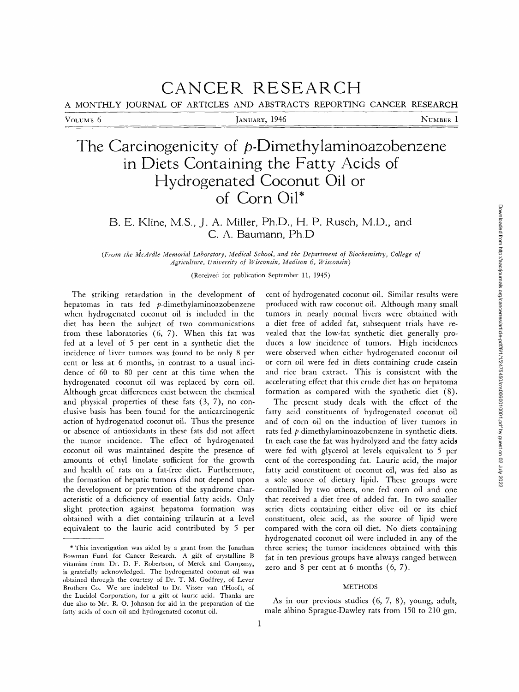# **CANCER RESEARCH**

A MONTHLY JOURNAL OF ARTICLES AND ABSTRACTS REPORTING CANCER RESEARCH

VOLUME 6 **JANUARY, 1946** NUMBER 1

# The Carcinogenicity of p-Dimethylaminoazobenzene **in Diets Containing the Fatty Acids of Hydrogenated Coconut Oil or of Corn Oil\***

# B. E. Kline, M.S., J. A. Miller, Ph.D., H. P. Rusch, M.D., and C. A. Baumann, Ph.D

(From the McArdle Memorial Laboratory, Medical School, and the Department of Biochemistry, College of *Agriculture, University o] Wisconsin, Madison 6, Wisconsin)* 

(Received for publication September 11, 1945)

The striking retardation in the development of hepatomas in rats fed p-dimethylaminoazobenzene when hydrogenated coconut oil is included in the diet has been the subject of two communications from these laboratories (6, 7). When this fat was fed at a level of 5 per cent in a synthetic diet the incidence of liver tumors was found to be only 8 per cent or less at 6 months, in contrast to a usual incidence of 60 to 80 per cent at this time when the hydrogenated coconut oil was replaced by corn oil. Although great differences exist between the chemical and physical properties of these fats (3, 7), no conclusive basis has been found for the anticarcinogenic action of hydrogenated coconut oil. Thus the presence or absence of antioxidants in these fats did not affect the tumor incidence. The effect of hydrogenated coconut oil was maintained despite the presence of amounts of ethyl linolate sufficient for the growth and health of rats on a fat-free diet. Furthermore, the formation of hepatic tumors did not depend upon the development or prevention of the syndrome characteristic of a deficiency of essential fatty acids. Only slight protection against hepatoma formation was obtained with a diet containing trilaurin at a level equivalent to the laurie acid contributed by 5 per

cent of hydrogenated coconut oil. Similar results were produced with raw coconut oil. Although many small tumors in nearly normal livers were obtained with a diet free of added fat, subsequent trials have revealed that the low-fat synthetic diet generally produces a low incidence of tumors. High incidences were observed when either hydrogenated coconut oil or corn oil were fed in diets containing crude casein and rice bran extract. This is consistent with the accelerating effect that this crude diet has on hepatoma formation as compared with the synthetic diet (8).

The present study deals with the effect of the fatty acid constituents of hydrogenated coconut oil and of corn oil on the induction of liver tumors in rats fed p-dimethylaminoazobenzene in synthetic diets. In each case the fat was hydrolyzed and the fatty acids were fed with glycerol at levels equivalent to 5 per cent of the corresponding fat. Laurie acid, the major fatty acid constituent of coconut oil, was fed also as a sole source of dietary lipid. These groups were controlled by two others, one fed corn oil and one that received a diet free of added fat. In two smaller series diets containing either olive oil or its chief constituent, oleic acid, as the source of lipid were compared with the corn oil diet. No diets containing hydrogenated coconut oil were included in any of the three series; the tumor incidences obtained with this fat in ten previous groups have always ranged between zero and  $8$  per cent at  $6$  months  $(6, 7)$ .

# **METHODS**

As in our previous studies (6, 7, 8), young, adult, male albino Sprague-Dawley rats from 150 to 210 gm.

<sup>\*</sup> This investigation was aided by a grant from the Jonathan Bowman Fund for Cancer Research. A gift of crystalline B vitamins from Dr. D. F. Robertson, of Merck and Company, is gratefully acknowledged. The hydrogenated coconut oil was obtained through the courtesy of Dr. T. M. Godfrey, of Lever Brothers Co. We are indebted to Dr. Visser van t'Hooft, of the Lucidol Corporation, for a gift of laurie acid. Thanks are due also to Mr. R. O. Johnson for aid in the preparation of the fatty acids of corn oil and hydrogenated coconut oil.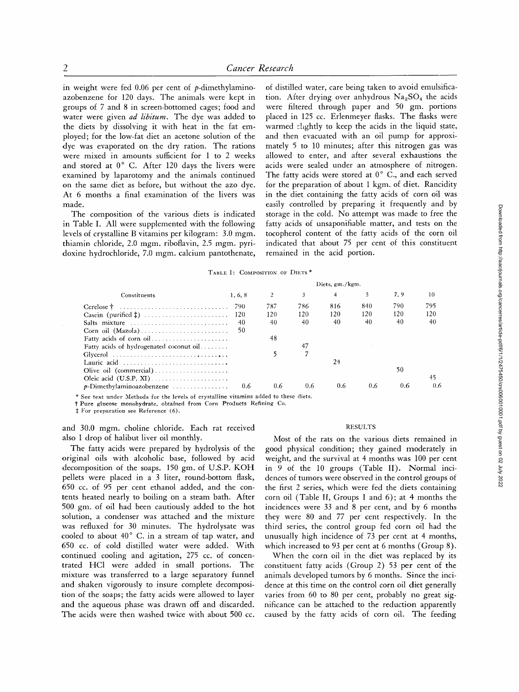in weight were fed  $0.06$  per cent of  $p$ -dimethylaminoazobenzene for 120 days. The animals were kept in groups of 7 and 8 in screen-bottomed cages; food and water were given *ad libitum*. The dye was added to the diets by dissolving it with heat in the fat employed; for the low-fat diet an acetone solution of the dye was evaporated on the dry ration. The rations were mixed in amounts sufficient for 1 to 2 weeks and stored at  $0^{\circ}$  C. After 120 days the livers were examined by laparotomy and the animals continued on the same diet as before, but without the azo dye. At 6 months a final examination of the livers was made.

The composition of the various diets is indicated in Table I. All were supplemented with the following levels of crystalline B vitamins per kilogram: 3.0 mgm. thiamin chloride, 2.0 mgm. riboflavin, 2.5 mgm. pyridoxine hydrochloride, 7.0 mgm. calcium pantothenate,

of distilled water, care being taken to avoid emulsification. After drying over anhydrous  $Na<sub>2</sub>SO<sub>4</sub>$  the acids were filtered through paper and 50 gm. portions placed in 125 cc. Erlenmeyer flasks. The flasks were warmed clightly to keep the acids in the liquid state, and then evacuated with an oil pump for approximately 5 to 10 minutes; after this nitrogen gas was allowed to enter, and after several exhaustions the acids were sealed under an atmosphere of nitrogen. The fatty acids were stored at  $0^{\circ}$  C., and each served for the preparation of about 1 kgm. of diet. Rancidity in the diet containing the fatty acids of corn oil was easily controlled by preparing it frequently and by storage in the cold. No attempt was made to free the fatty acids of unsaponifiable matter, and tests on the tocopherol content of the fatty acids of the corn oil indicated that about 75 per cent of this constituent remained in the acid portion.

TABLE I: COMPOSITION OF DIETS<sup>\*</sup>

|                                                                                  | $Diets$ , gm./kgm. |     |     |     |     |     |     |  |
|----------------------------------------------------------------------------------|--------------------|-----|-----|-----|-----|-----|-----|--|
| Constituents                                                                     | 1, 6, 8            | 2   |     | 4   | 5   | 7.9 | 10  |  |
| Cerelose †                                                                       | 790                | 787 | 786 | 816 | 840 | 790 | 795 |  |
|                                                                                  | 120                | 120 | 120 | 120 | 120 | 120 | 120 |  |
| Salts mixture                                                                    | 40                 | 40  | 40  | 40  | 40  | 40  | 40  |  |
|                                                                                  | 50                 |     |     |     |     |     |     |  |
| Fatty acids of corn oil                                                          |                    | 48  |     |     |     |     |     |  |
| Fatty acids of hydrogenated coconut oil                                          |                    |     | 47  |     |     |     |     |  |
| Glycerol $\ldots \ldots \ldots \ldots \ldots \ldots \ldots \ldots \ldots \ldots$ |                    |     |     |     |     |     |     |  |
| Lauric acid                                                                      |                    |     |     | 24  |     |     |     |  |
| Olive oil (commercial)                                                           |                    |     |     |     |     | 50  |     |  |
|                                                                                  |                    |     |     |     |     |     | 45  |  |
| $p$ -Dimethylaminoazobenzene                                                     | 0.6                | 0.6 | 0.6 | 0.6 | 0.6 | 0.6 | 0.6 |  |

\* See text under Methods for the levels of crystalline vitamins added to these diets.

 $\dagger$  Pure glucose monohydrate, obtained from Corn Products Refining Co.

 $~$  For preparation see Reference (6).

and 30.0 mgm. choline chloride. Each rat received also 1 drop of halibut liver oil monthly.

The fatty acids were prepared by hydrolysis of the original oils with alcoholic base, followed by acid decomposition of the soaps. 150 gm. of U.S.P. KOH pellets were placed in a 3 liter, round-bottom flask, 650 cc. of 95 per cent ethanol added, and the contents heated nearly to boiling on a steam bath. After 500 gm. of oil had been cautiously added to the hot solution, a condenser was attached and the mixture was refluxed for 30 minutes. The hydrolysate was cooled to about  $40^{\circ}$  C. in a stream of tap water, and 650 cc. of cold distilled water were added. With continued cooling and agitation, 275 cc. of concentrated HC1 were added in small portions. The mixture was transferred to a large separatory funnel and shaken vigorously to insure complete decomposition of the soaps; the fatty acids were allowed to layer and the aqueous phase was drawn off and discarded. The acids were then washed twice with about 500 cc.

#### RESULTS

Most of the rats on the various diets remained in good physical condition; they gained moderately in weight, and the survival at 4 months was 100 per cent in 9 of the 10 groups (Table II). Normal incidences of tumors were observed in the control groups of the first 2 series, which were fed the diets containing corn oil (Table II, Groups 1 and 6); at 4 months the incidences were 33 and 8 per cent, and by 6 months they were 80 and 77 per cent respectively. In the third series, the control group fed corn oil had the unusually high incidence of 73 per cent at 4 months, which increased to 93 per cent at 6 months (Group 8).

When the corn oil in the diet was replaced by its constituent fatty acids (Group 2) 53 per cent of the animals developed tumors by 6 months. Since the incidence at this time on the control corn oil diet generally varies from 60 to 80 per cent, probably no great significance can be attached to the reduction apparently caused by the fatty acids of corn oil. The feeding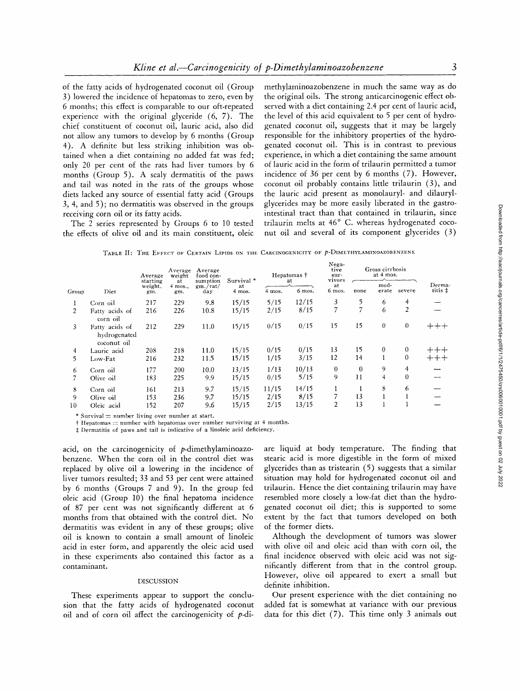of the fatty acids of hydrogenated coconut oil (Group 3) lowered the incidence of hepatomas to zero, even by 6 months; this effect is comparable to our oft-repeated experience with the original glyceride (6, 7). The chief constituent of coconut oil, lauric acid, also did not allow any tumors to develop by 6 months (Group 4). A definite but less striking inhibition was obtained when a diet containing no added fat was fed; only 20 per cent of the rats had liver tumors by 6 months (Group 5). A scaly dermatitis of the paws and tail was noted in the rats of the groups whose diets lacked any source of essential fatty acid (Groups 3, 4, and 5); no dermatitis was observed in the groups receiving corn oil or its fatty acids.

The 2 series represented by Groups 6 to 10 tested the effects of olive oil and its main constituent, oleic

methylaminoazobenzene in much the same way as do the original oils. The strong anticarcinogenic effect observed with a diet containing 2.4 per cent of lauric acid, the level of this acid equivalent to 5 per cent of hydrogenated coconut oil, suggests that it may be largely responsible for the inhibitory properties of the hydrogenated coconut oil. This is in contrast to previous experience, in which a diet containing the same amount of lauric acid in the form of trilaurin permitted a tumor incidence of 36 per cent by 6 months (7). However, coconut oil probably contains little trilaurin (3), and the lauric acid present as monolauryl- and dilaurylglycerides may be more easily liberated in the gastrointestinal tract than that contained in trilaurin, since trilaurin melts at 46° C. whereas hydrogenated coconut oil and several of its component glycerides (3)

TABLE II: THE EFFECT OF CERTAIN LIPIDS ON THE CARCINOGENICITY OF P-DIMETHYLAMINOAZOBENZENE

| Group |                                               | Average                    | Average<br>weight | Average<br>food con-<br>sumption<br>at<br>gm./rat/<br>day.<br>gm. | Survival <sup>*</sup><br>at<br>4 mos. | Hepatomas †<br>at |        | Nega-<br>tive<br>sur-<br>vivors | Gross cirrhosis<br>at 4 mos. |               |                  |                   |
|-------|-----------------------------------------------|----------------------------|-------------------|-------------------------------------------------------------------|---------------------------------------|-------------------|--------|---------------------------------|------------------------------|---------------|------------------|-------------------|
|       | Diet                                          | starting<br>weight.<br>gm. | $4$ mos.,         |                                                                   |                                       | 4 mos.            | 6 mos. | at<br>6 mos.                    | none                         | mod-<br>erate | severe           | Derma-<br>titis ‡ |
| 1     | Corn oil                                      | 217                        | 229               | 9.8                                                               | 15/15                                 | 5/15              | 12/15  | 3                               | 5                            | 6             | 4                |                   |
| 2     | Fatty acids of<br>corn oil                    | 216                        | 226               | 10.8                                                              | 15/15                                 | 2/15              | 8/15   | 7                               |                              | 6             | $\overline{2}$   |                   |
| 3     | Fatty acids of<br>hydrogenated<br>coconut oil | 212                        | 229               | 11.0                                                              | 15/15                                 | 0/15              | 0/15   | 15                              | 15                           | $\mathbf{0}$  | $\bf{0}$         |                   |
| 4     | Lauric acid                                   | 208                        | 218               | 11.0                                                              | 15/15                                 | 0/15              | 0/15   | 13                              | 15                           | $\bf{0}$      | $\boldsymbol{0}$ | $+++$             |
| 5.    | Low-Fat                                       | 216                        | 232               | 11.5                                                              | 15/15                                 | 1/15              | 3/15   | 12                              | 14                           |               | $\mathbf{0}$     | ┿┿┿               |
| 6     | Corn oil                                      | 177                        | 200               | 10.0                                                              | 13/15                                 | 1/13              | 10/13  | $\bf{0}$                        | $\theta$                     | 9             | 4                |                   |
|       | Olive oil                                     | 183                        | 225               | 9.9                                                               | 15/15                                 | 0/15              | 5/15   | 9                               | 11                           | 4             | $\theta$         |                   |
| 8     | Corn oil                                      | 161                        | 213               | 9.7                                                               | 15/15                                 | 11/15             | 14/15  |                                 | I.                           | 8             | 6                |                   |
| 9     | Olive oil                                     | 153                        | 236               | 9.7                                                               | 15/15                                 | 2/15              | 8/15   | 7                               | 13                           |               |                  |                   |
| 10    | Oleic acid                                    | 152                        | 207               | 9.6                                                               | 15/15                                 | 2/15              | 13/15  | $\overline{2}$                  | 13                           |               |                  |                   |

\* Survival  $=$  number living over number at start.

 $\dagger$  Hepatomas = number with hepatomas over number surviving at 4 months.

 $\ddagger$  Dermatitis of paws and tail is indicative of a linoleic acid deficiency.

acid, on the carcinogenicity of  $p$ -dimethylaminoazobenzene. When the corn oil in the control diet was replaced by olive oil a lowering in the incidence of liver tumors resulted; 33 and 53 per cent were attained by 6 months (Groups 7 and 9). In the group fed oleic acid (Group 10) the final hepatoma incidence of 87 per cent was not significantly different at 6 months from that obtained with the control diet. No dermatitis was evident in any of these groups; olive oil is known to contain a small amount of linoleic acid in ester form, and apparently the oleic acid used in these experiments also contained this factor as a contaminant.

### DISCUSSION

These experiments appear to support the conclusion that the fatty acids of hydrogenated coconut oil and of corn oil affect the carcinogenicity of  $p$ -diare liquid at body temperature. The finding that stearic acid is more digestible in the form of mixed glycerides than as tristearin (5) suggests that a similar situation may hold for hydrogenated coconut oil and trilaurin. Hence the diet containing trilaurin may have resembled more closely a low-fat diet than the hydrogenated coconut oil diet; this is supported to some extent by the fact that tumors developed on both of the former diets.

Although the development of tumors was slower with olive oil and oleic acid than with corn oil, the final incidence observed with oleic acid was not significantly different from that in the control group. However, olive oil appeared to exert a small but definite inhibition.

Our present experience with the diet containing no added fat is somewhat at variance with our previous data for this diet (7). This time only 3 animals out